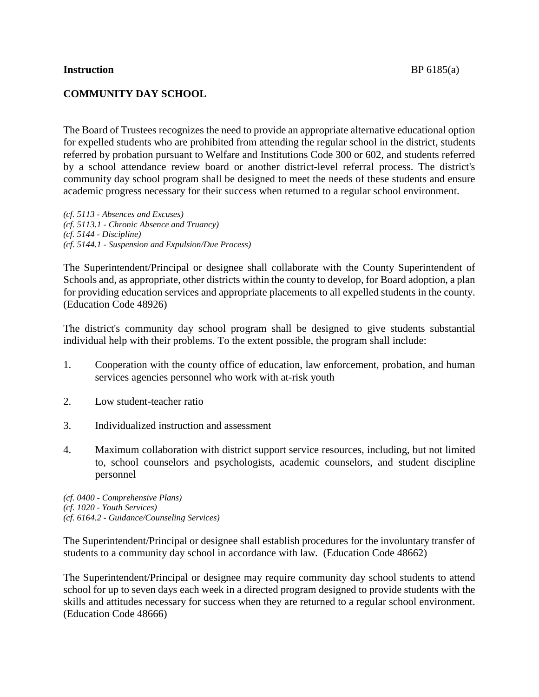### **Instruction** BP 6185(a)

## **COMMUNITY DAY SCHOOL**

The Board of Trustees recognizes the need to provide an appropriate alternative educational option for expelled students who are prohibited from attending the regular school in the district, students referred by probation pursuant to Welfare and Institutions Code 300 or 602, and students referred by a school attendance review board or another district-level referral process. The district's community day school program shall be designed to meet the needs of these students and ensure academic progress necessary for their success when returned to a regular school environment.

*(cf. 5113 - Absences and Excuses) (cf. 5113.1 - Chronic Absence and Truancy) (cf. 5144 - Discipline) (cf. 5144.1 - Suspension and Expulsion/Due Process)*

The Superintendent/Principal or designee shall collaborate with the County Superintendent of Schools and, as appropriate, other districts within the county to develop, for Board adoption, a plan for providing education services and appropriate placements to all expelled students in the county. (Education Code 48926)

The district's community day school program shall be designed to give students substantial individual help with their problems. To the extent possible, the program shall include:

- 1. Cooperation with the county office of education, law enforcement, probation, and human services agencies personnel who work with at-risk youth
- 2. Low student-teacher ratio
- 3. Individualized instruction and assessment
- 4. Maximum collaboration with district support service resources, including, but not limited to, school counselors and psychologists, academic counselors, and student discipline personnel

*(cf. 0400 - Comprehensive Plans) (cf. 1020 - Youth Services) (cf. 6164.2 - Guidance/Counseling Services)*

The Superintendent/Principal or designee shall establish procedures for the involuntary transfer of students to a community day school in accordance with law*.* (Education Code 48662)

The Superintendent/Principal or designee may require community day school students to attend school for up to seven days each week in a directed program designed to provide students with the skills and attitudes necessary for success when they are returned to a regular school environment. (Education Code 48666)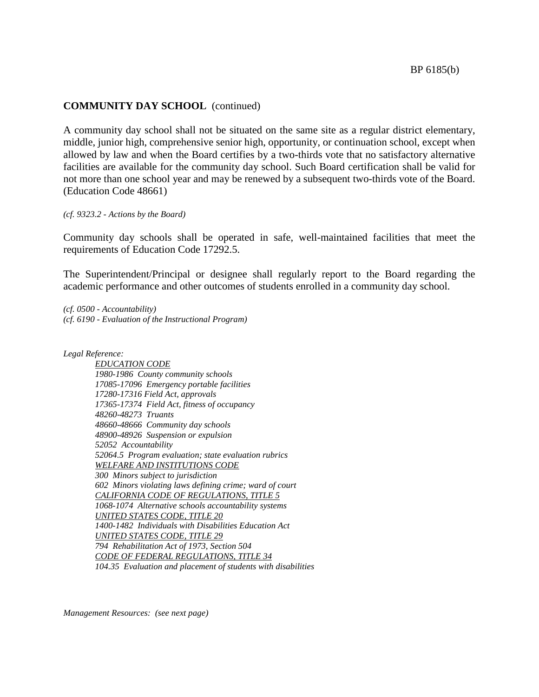#### **COMMUNITY DAY SCHOOL** (continued)

A community day school shall not be situated on the same site as a regular district elementary, middle, junior high, comprehensive senior high, opportunity, or continuation school, except when allowed by law and when the Board certifies by a two-thirds vote that no satisfactory alternative facilities are available for the community day school. Such Board certification shall be valid for not more than one school year and may be renewed by a subsequent two-thirds vote of the Board. (Education Code 48661)

*(cf. 9323.2 - Actions by the Board)*

Community day schools shall be operated in safe, well-maintained facilities that meet the requirements of Education Code 17292.5.

The Superintendent/Principal or designee shall regularly report to the Board regarding the academic performance and other outcomes of students enrolled in a community day school.

*(cf. 0500 - Accountability) (cf. 6190 - Evaluation of the Instructional Program)*

*Legal Reference:*

*EDUCATION CODE 1980-1986 County community schools 17085-17096 Emergency portable facilities 17280-17316 Field Act, approvals 17365-17374 Field Act, fitness of occupancy 48260-48273 Truants 48660-48666 Community day schools 48900-48926 Suspension or expulsion 52052 Accountability 52064.5 Program evaluation; state evaluation rubrics WELFARE AND INSTITUTIONS CODE 300 Minors subject to jurisdiction 602 Minors violating laws defining crime; ward of court CALIFORNIA CODE OF REGULATIONS, TITLE 5 1068-1074 Alternative schools accountability systems UNITED STATES CODE, TITLE 20 1400-1482 Individuals with Disabilities Education Act UNITED STATES CODE, TITLE 29 794 Rehabilitation Act of 1973, Section 504 CODE OF FEDERAL REGULATIONS, TITLE 34 104.35 Evaluation and placement of students with disabilities*

*Management Resources: (see next page)*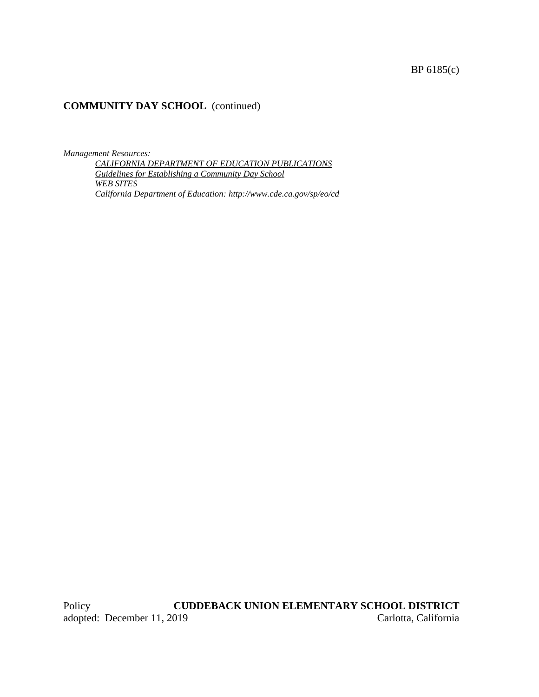# BP 6185(c)

## **COMMUNITY DAY SCHOOL** (continued)

*Management Resources:*

*CALIFORNIA DEPARTMENT OF EDUCATION PUBLICATIONS Guidelines for Establishing a Community Day School WEB SITES California Department of Education: http://www.cde.ca.gov/sp/eo/cd*

Policy **CUDDEBACK UNION ELEMENTARY SCHOOL DISTRICT**<br>adopted: December 11, 2019 Carlotta, California adopted: December 11, 2019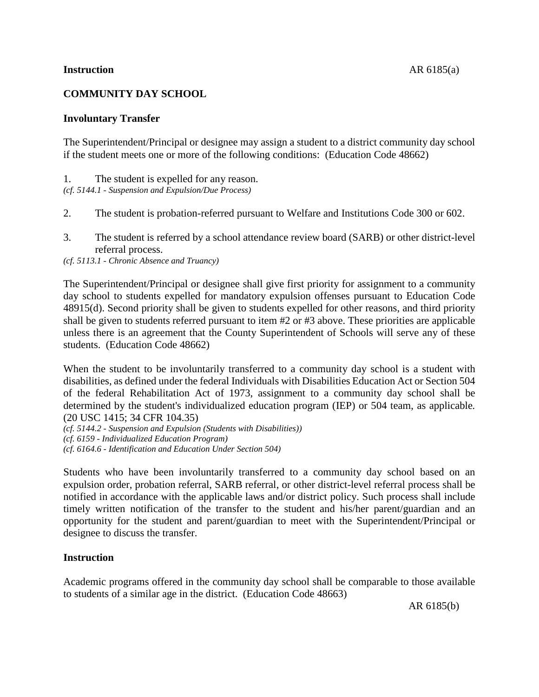# **COMMUNITY DAY SCHOOL**

## **Involuntary Transfer**

The Superintendent/Principal or designee may assign a student to a district community day school if the student meets one or more of the following conditions: (Education Code 48662)

1. The student is expelled for any reason.

*(cf. 5144.1 - Suspension and Expulsion/Due Process)*

- 2. The student is probation-referred pursuant to Welfare and Institutions Code 300 or 602.
- 3. The student is referred by a school attendance review board (SARB) or other district-level referral process.

*(cf. 5113.1 - Chronic Absence and Truancy)*

The Superintendent/Principal or designee shall give first priority for assignment to a community day school to students expelled for mandatory expulsion offenses pursuant to Education Code 48915(d). Second priority shall be given to students expelled for other reasons, and third priority shall be given to students referred pursuant to item #2 or #3 above. These priorities are applicable unless there is an agreement that the County Superintendent of Schools will serve any of these students. (Education Code 48662)

When the student to be involuntarily transferred to a community day school is a student with disabilities, as defined under the federal Individuals with Disabilities Education Act or Section 504 of the federal Rehabilitation Act of 1973, assignment to a community day school shall be determined by the student's individualized education program (IEP) or 504 team, as applicable*.* (20 USC 1415; 34 CFR 104.35)

*(cf. 5144.2 - Suspension and Expulsion (Students with Disabilities)) (cf. 6159 - Individualized Education Program) (cf. 6164.6 - Identification and Education Under Section 504)*

Students who have been involuntarily transferred to a community day school based on an expulsion order, probation referral, SARB referral, or other district-level referral process shall be notified in accordance with the applicable laws and/or district policy. Such process shall include timely written notification of the transfer to the student and his/her parent/guardian and an opportunity for the student and parent/guardian to meet with the Superintendent/Principal or designee to discuss the transfer.

## **Instruction**

Academic programs offered in the community day school shall be comparable to those available to students of a similar age in the district. (Education Code 48663)

AR 6185(b)